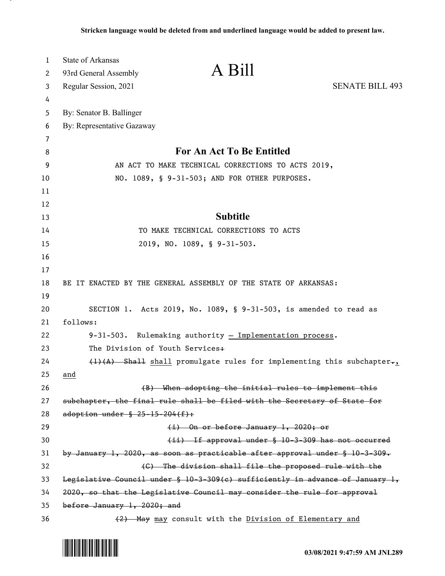| $\mathbf{1}$ | <b>State of Arkansas</b>                                                                         |                        |
|--------------|--------------------------------------------------------------------------------------------------|------------------------|
| 2            | A Bill<br>93rd General Assembly                                                                  |                        |
| 3            | Regular Session, 2021                                                                            | <b>SENATE BILL 493</b> |
| 4            |                                                                                                  |                        |
| 5            | By: Senator B. Ballinger                                                                         |                        |
| 6            | By: Representative Gazaway                                                                       |                        |
| 7            |                                                                                                  |                        |
| 8            | For An Act To Be Entitled                                                                        |                        |
| 9            | AN ACT TO MAKE TECHNICAL CORRECTIONS TO ACTS 2019,                                               |                        |
| 10           | NO. 1089, § 9-31-503; AND FOR OTHER PURPOSES.                                                    |                        |
| 11           |                                                                                                  |                        |
| 12           |                                                                                                  |                        |
| 13           | <b>Subtitle</b>                                                                                  |                        |
| 14           | TO MAKE TECHNICAL CORRECTIONS TO ACTS                                                            |                        |
| 15           | 2019, NO. 1089, § 9-31-503.                                                                      |                        |
| 16           |                                                                                                  |                        |
| 17           |                                                                                                  |                        |
| 18           | BE IT ENACTED BY THE GENERAL ASSEMBLY OF THE STATE OF ARKANSAS:                                  |                        |
| 19           |                                                                                                  |                        |
| 20<br>21     | SECTION 1. Acts 2019, No. 1089, § 9-31-503, is amended to read as<br>follows:                    |                        |
| 22           |                                                                                                  |                        |
| 23           | $9-31-503$ . Rulemaking authority $-$ Implementation process.<br>The Division of Youth Services+ |                        |
| 24           | $(1)$ $(A)$ Shall shall promulgate rules for implementing this subchapter $\mathbf{r}_{1}$       |                        |
| 25           | and                                                                                              |                        |
| 26           | (B) When adopting the initial rules to implement this                                            |                        |
| 27           | subchapter, the final rule shall be filed with the Secretary of State for                        |                        |
| 28           | adoption under $$25-15-204(f):$                                                                  |                        |
| 29           | (i) On or before January 1, 2020; or                                                             |                        |
| 30           | (ii) If approval under § 10-3-309 has not occurred                                               |                        |
| 31           | by January 1, 2020, as soon as practicable after approval under $\S$ 10-3-309.                   |                        |
| 32           | (C) The division shall file the proposed rule with the                                           |                        |
| 33           | Legislative Council under § 10-3-309(c) sufficiently in advance of January 1,                    |                        |
| 34           | 2020, so that the Legislative Council may consider the rule for approval                         |                        |
| 35           | before January 1, 2020; and                                                                      |                        |
| 36           | (2) May may consult with the Division of Elementary and                                          |                        |